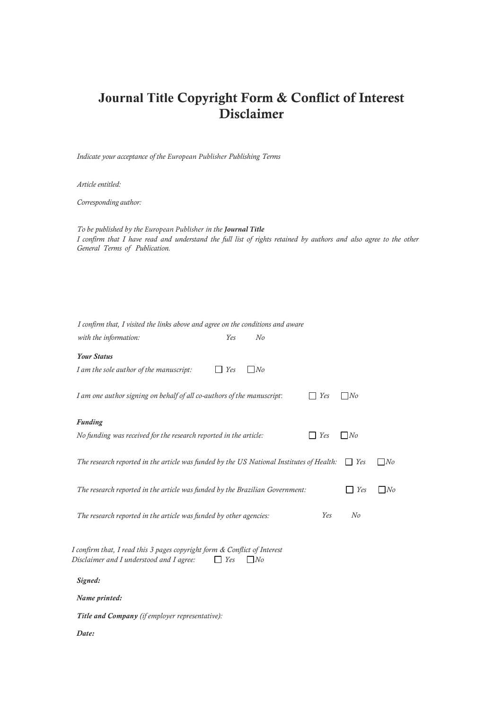# **Journal Title** Copyright Form & Conflict of Interest Disclaimer

*Indicate your acceptance of the European Publisher Publishing Terms*

*Article entitled:* 

*Corresponding author:* 

*To be published by the European Publisher in the Journal Title I confirm that I have read and understand the full list of rights retained by authors and also agree to the other General Terms of Publication.* 

| I confirm that, I visited the links above and agree on the conditions and aware                                                    |
|------------------------------------------------------------------------------------------------------------------------------------|
| with the information:<br>Yes<br>N <sub>o</sub>                                                                                     |
| <b>Your Status</b>                                                                                                                 |
| I am the sole author of the manuscript:<br>Yes<br>N <sub>o</sub>                                                                   |
| I am one author signing on behalf of all co-authors of the manuscript:<br>Yes<br>N <sub>o</sub>                                    |
| <b>Funding</b>                                                                                                                     |
| No funding was received for the research reported in the article:<br>Yes<br>N <sub>o</sub>                                         |
| The research reported in the article was funded by the US National Institutes of Health:<br>Yes<br>N <sub>o</sub>                  |
| N <sub>o</sub><br>The research reported in the article was funded by the Brazilian Government:<br>Yes                              |
| N <sub>o</sub><br>Yes<br>The research reported in the article was funded by other agencies:                                        |
| I confirm that, I read this 3 pages copyright form & Conflict of Interest<br>Disclaimer and I understood and I agree:<br>Yes<br>No |
| Signed:                                                                                                                            |
| Name printed:                                                                                                                      |
| Title and Company (if employer representative):                                                                                    |
| Date:                                                                                                                              |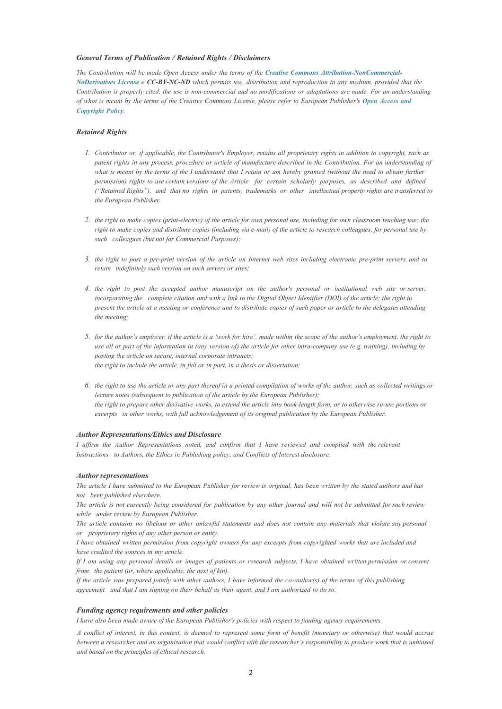## *General Terms of Publication / Retained Rights / Disclaimers*

*The Contribution will be made Open Access under the terms of the Creative Commons Attribution-NonCommercial-NoDerivatives License e* CC-BY-NC-ND [which permits use, distribution and reproduction in any medium, provided t](https://creativecommons.org/licenses/by-nc-nd/4.0/)hat the *Contribution is properly cited, the use is non-commercial and no modifications or adaptations are made. For an understanding [of what is meant by the terms of the Creative Commons License, please refer to European Publisher's](https://www.europeanpublisher.com/en/view/policy-open-access-and-copyright) Open Access and Copyright Policy.*

## *Retained Rights*

- *1. Contributor or, if applicable, the Contributor's Employer, retains all proprietary rights in addition to copyright, such as patent rights in any process, procedure or article of manufacture described in the Contribution. For an understanding of*  what is meant by the terms of the I understand that I retain or am hereby granted (without the need to obtain further *permission) rights to use certain versions of the Article for certain scholarly purposes, as described and defined ("Retained Rights"), and that no rights in patents, trademarks or other intellectual property rights are transferred to the European Publisher.*
- *2. the right to make copies (print-electric) of the article for own personal use, including for own classroom teaching use; the right to make copies and distribute copies (including via e-mail) of the article to research colleagues, for personal use by such colleagues (but not for Commercial Purposes);*
- *3. the right to post a pre-print version of the article on Internet web sites including electronic pre-print servers, and to retain indefinitely such version on such servers or sites;*
- *4. the right to post the accepted author manuscript on the author's personal or institutional web site or server, incorporating the complete citation and with a link to the Digital Object Identifier (DOI) of the article; the right to present the article at a meeting or conference and to distribute copies of such paper or article to the delegates attending the meeting;*
- *5. for the author's employer, if the article is a 'work for hire', made within the scope of the author's employment, the right to use all or part of the information in (any version of) the article for other intra-company use (e.g. training), including by posting the article on secure, internal corporate intranets; the right to include the article, in full or in part, in a thesis or dissertation;*
- *6. the right to use the article or any part thereof in a printed compilation of works of the author, such as collected writings or lecture notes (subsequent to publication of the article by the European Publisher); the right to prepare other derivative works, to extend the article into book-length form, or to otherwise re-use portions or excerpts in other works, with full acknowledgement of its original publication by the European Publisher.*

#### *Author Representations/Ethics and Disclosure*

*I affirm the Author Representations noted, and confirm that I have reviewed and complied with the relevant Instructions to Authors, the Ethics in Publishing policy, and Conflicts of Interest disclosure.* 

#### *Author representations*

*The article I have submitted to the European Publisher for review is original, has been written by the stated authors and has not been published elsewhere.* 

*The article is not currently being considered for publication by any other journal and will not be submitted for such review while under review by European Publisher.* 

*The article contains no libelous or other unlawful statements and does not contain any materials that violate any personal or proprietary rights of any other person or entity.* 

*I have obtained written permission from copyright owners for any excerpts from copyrighted works that are included and have credited the sources in my article.* 

*If I am using any personal details or images of patients or research subjects, I have obtained written permission or consent from the patient (or, where applicable, the next of kin).* 

*If the article was prepared jointly with other authors, I have informed the co-author(s) of the terms of this publishing agreement and that I am signing on their behalf as their agent, and I am authorized to do so.* 

## *Funding agency requirements and other policies*

*I have also been made aware of the European Publisher's policies with respect to funding agency requirements.* 

*A conflict of interest, in this context, is deemed to represent some form of benefit (monetary or otherwise) that would accrue between a researcher and an organisation that would conflict with the researcher's responsibility to produce work that is unbiased and based on the principles of ethical research.*